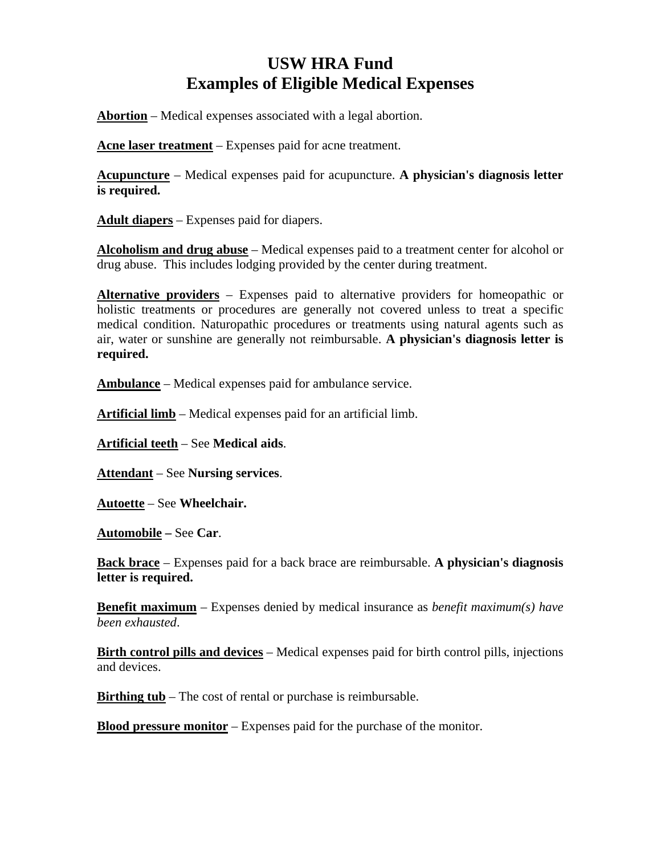# **USW HRA Fund Examples of Eligible Medical Expenses**

**Abortion** – Medical expenses associated with a legal abortion.

**Acne laser treatment** – Expenses paid for acne treatment.

**Acupuncture** – Medical expenses paid for acupuncture. **A physician's diagnosis letter is required.** 

**Adult diapers** – Expenses paid for diapers.

**Alcoholism and drug abuse** – Medical expenses paid to a treatment center for alcohol or drug abuse. This includes lodging provided by the center during treatment.

**Alternative providers** – Expenses paid to alternative providers for homeopathic or holistic treatments or procedures are generally not covered unless to treat a specific medical condition. Naturopathic procedures or treatments using natural agents such as air, water or sunshine are generally not reimbursable. **A physician's diagnosis letter is required.** 

**Ambulance** – Medical expenses paid for ambulance service.

**Artificial limb** – Medical expenses paid for an artificial limb.

**Artificial teeth** – See **Medical aids**.

**Attendant** – See **Nursing services**.

**Autoette** – See **Wheelchair.** 

**Automobile –** See **Car**.

**Back brace** – Expenses paid for a back brace are reimbursable. **A physician's diagnosis letter is required.** 

**Benefit maximum** – Expenses denied by medical insurance as *benefit maximum(s) have been exhausted*.

**Birth control pills and devices** – Medical expenses paid for birth control pills, injections and devices.

**Birthing tub** – The cost of rental or purchase is reimbursable.

**Blood pressure monitor** – Expenses paid for the purchase of the monitor.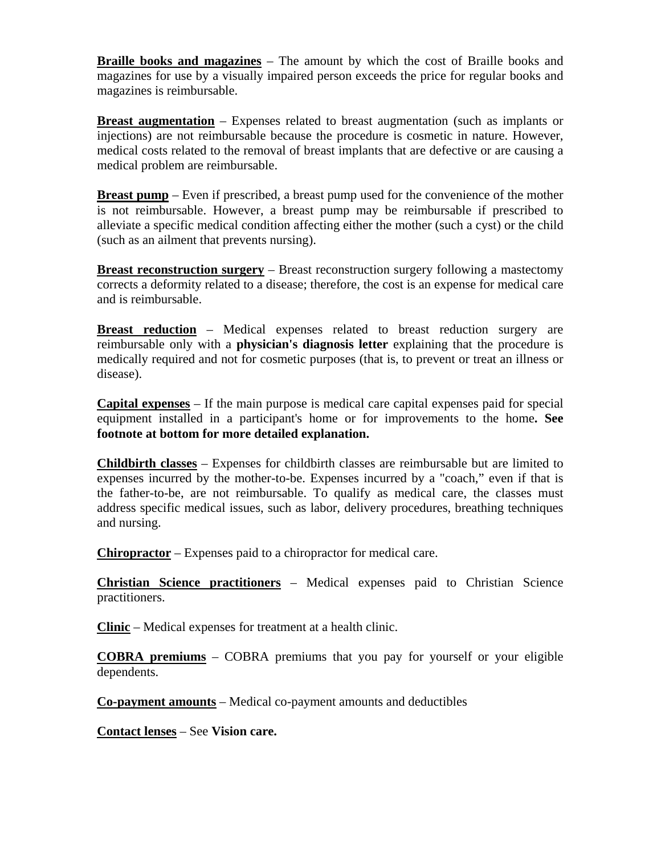**Braille books and magazines** – The amount by which the cost of Braille books and magazines for use by a visually impaired person exceeds the price for regular books and magazines is reimbursable.

**Breast augmentation** – Expenses related to breast augmentation (such as implants or injections) are not reimbursable because the procedure is cosmetic in nature. However, medical costs related to the removal of breast implants that are defective or are causing a medical problem are reimbursable.

**Breast pump** – Even if prescribed, a breast pump used for the convenience of the mother is not reimbursable. However, a breast pump may be reimbursable if prescribed to alleviate a specific medical condition affecting either the mother (such a cyst) or the child (such as an ailment that prevents nursing).

**Breast reconstruction surgery** – Breast reconstruction surgery following a mastectomy corrects a deformity related to a disease; therefore, the cost is an expense for medical care and is reimbursable.

**Breast reduction** – Medical expenses related to breast reduction surgery are reimbursable only with a **physician's diagnosis letter** explaining that the procedure is medically required and not for cosmetic purposes (that is, to prevent or treat an illness or disease).

**Capital expenses** – If the main purpose is medical care capital expenses paid for special equipment installed in a participant's home or for improvements to the home**. See footnote at bottom for more detailed explanation.** 

**Childbirth classes** – Expenses for childbirth classes are reimbursable but are limited to expenses incurred by the mother-to-be. Expenses incurred by a "coach," even if that is the father-to-be, are not reimbursable. To qualify as medical care, the classes must address specific medical issues, such as labor, delivery procedures, breathing techniques and nursing.

**Chiropractor** – Expenses paid to a chiropractor for medical care.

**Christian Science practitioners** – Medical expenses paid to Christian Science practitioners.

**Clinic** – Medical expenses for treatment at a health clinic.

**COBRA premiums** – COBRA premiums that you pay for yourself or your eligible dependents.

**Co-payment amounts** – Medical co-payment amounts and deductibles

**Contact lenses** – See **Vision care.**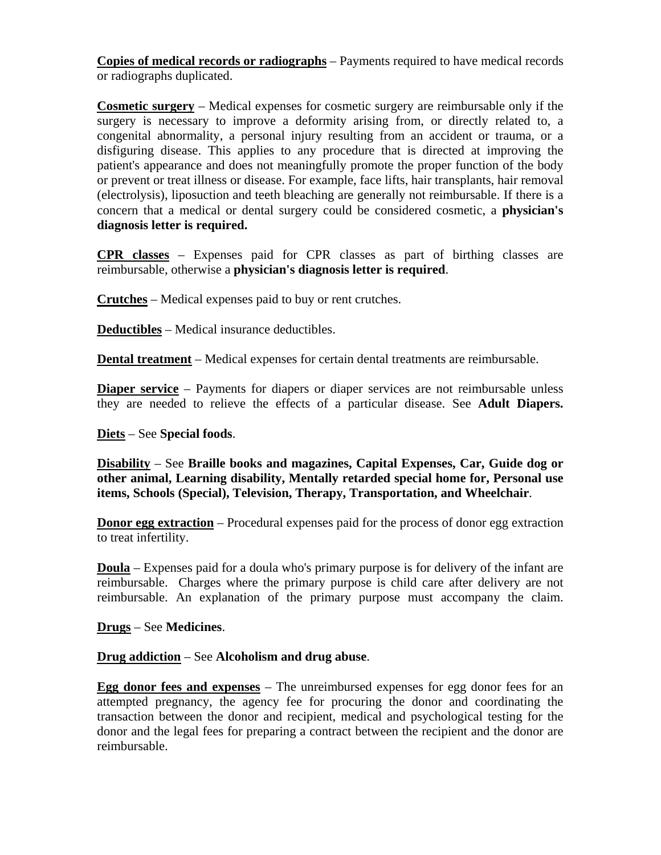**Copies of medical records or radiographs** – Payments required to have medical records or radiographs duplicated.

**Cosmetic surgery** – Medical expenses for cosmetic surgery are reimbursable only if the surgery is necessary to improve a deformity arising from, or directly related to, a congenital abnormality, a personal injury resulting from an accident or trauma, or a disfiguring disease. This applies to any procedure that is directed at improving the patient's appearance and does not meaningfully promote the proper function of the body or prevent or treat illness or disease. For example, face lifts, hair transplants, hair removal (electrolysis), liposuction and teeth bleaching are generally not reimbursable. If there is a concern that a medical or dental surgery could be considered cosmetic, a **physician's diagnosis letter is required.**

**CPR classes** – Expenses paid for CPR classes as part of birthing classes are reimbursable, otherwise a **physician's diagnosis letter is required**.

**Crutches** – Medical expenses paid to buy or rent crutches.

**Deductibles** – Medical insurance deductibles.

**Dental treatment** – Medical expenses for certain dental treatments are reimbursable.

**Diaper service** – Payments for diapers or diaper services are not reimbursable unless they are needed to relieve the effects of a particular disease. See **Adult Diapers.**

## **Diets** – See **Special foods**.

**Disability** – See **Braille books and magazines, Capital Expenses, Car, Guide dog or other animal, Learning disability, Mentally retarded special home for, Personal use items, Schools (Special), Television, Therapy, Transportation, and Wheelchair**.

**Donor egg extraction** – Procedural expenses paid for the process of donor egg extraction to treat infertility.

**Doula** – Expenses paid for a doula who's primary purpose is for delivery of the infant are reimbursable. Charges where the primary purpose is child care after delivery are not reimbursable. An explanation of the primary purpose must accompany the claim.

**Drugs** – See **Medicines**.

**Drug addiction** – See **Alcoholism and drug abuse**.

**Egg donor fees and expenses** – The unreimbursed expenses for egg donor fees for an attempted pregnancy, the agency fee for procuring the donor and coordinating the transaction between the donor and recipient, medical and psychological testing for the donor and the legal fees for preparing a contract between the recipient and the donor are reimbursable.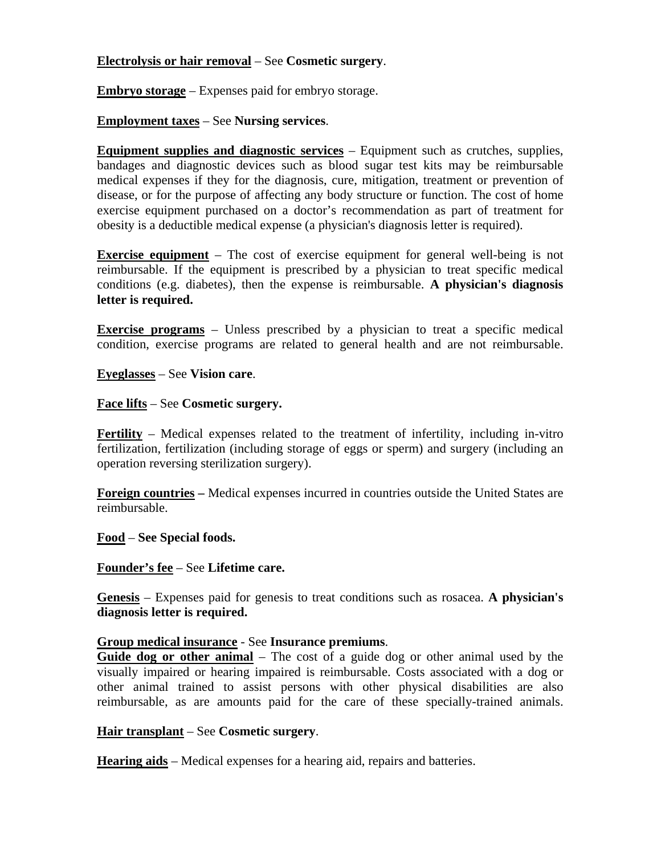## **Electrolysis or hair removal** – See **Cosmetic surgery**.

**Embryo storage** – Expenses paid for embryo storage.

## **Employment taxes** – See **Nursing services**.

**Equipment supplies and diagnostic services** – Equipment such as crutches, supplies, bandages and diagnostic devices such as blood sugar test kits may be reimbursable medical expenses if they for the diagnosis, cure, mitigation, treatment or prevention of disease, or for the purpose of affecting any body structure or function. The cost of home exercise equipment purchased on a doctor's recommendation as part of treatment for obesity is a deductible medical expense (a physician's diagnosis letter is required).

**Exercise equipment** – The cost of exercise equipment for general well-being is not reimbursable. If the equipment is prescribed by a physician to treat specific medical conditions (e.g. diabetes), then the expense is reimbursable. **A physician's diagnosis letter is required.** 

**Exercise programs** – Unless prescribed by a physician to treat a specific medical condition, exercise programs are related to general health and are not reimbursable.

**Eyeglasses** – See **Vision care**.

**Face lifts** – See **Cosmetic surgery.**

**Fertility** – Medical expenses related to the treatment of infertility, including in-vitro fertilization, fertilization (including storage of eggs or sperm) and surgery (including an operation reversing sterilization surgery).

**Foreign countries –** Medical expenses incurred in countries outside the United States are reimbursable.

**Food** – **See Special foods.**

**Founder's fee** – See **Lifetime care.** 

**Genesis** – Expenses paid for genesis to treat conditions such as rosacea. **A physician's diagnosis letter is required.** 

## **Group medical insurance** - See **Insurance premiums**.

**Guide dog or other animal** – The cost of a guide dog or other animal used by the visually impaired or hearing impaired is reimbursable. Costs associated with a dog or other animal trained to assist persons with other physical disabilities are also reimbursable, as are amounts paid for the care of these specially-trained animals.

## **Hair transplant** – See **Cosmetic surgery**.

**Hearing aids** – Medical expenses for a hearing aid, repairs and batteries.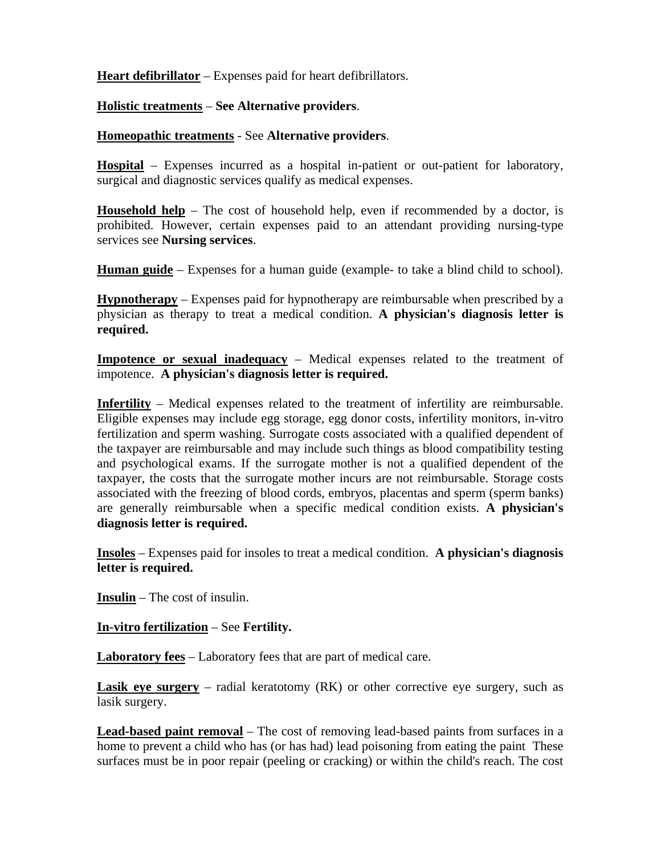**Heart defibrillator** – Expenses paid for heart defibrillators.

# **Holistic treatments** – **See Alternative providers**.

## **Homeopathic treatments** - See **Alternative providers**.

**Hospital** – Expenses incurred as a hospital in-patient or out-patient for laboratory, surgical and diagnostic services qualify as medical expenses.

**Household help** – The cost of household help, even if recommended by a doctor, is prohibited. However, certain expenses paid to an attendant providing nursing-type services see **Nursing services**.

**Human guide** – Expenses for a human guide (example- to take a blind child to school).

**Hypnotherapy** – Expenses paid for hypnotherapy are reimbursable when prescribed by a physician as therapy to treat a medical condition. **A physician's diagnosis letter is required.** 

**Impotence or sexual inadequacy** – Medical expenses related to the treatment of impotence. **A physician's diagnosis letter is required.** 

**Infertility** – Medical expenses related to the treatment of infertility are reimbursable. Eligible expenses may include egg storage, egg donor costs, infertility monitors, in-vitro fertilization and sperm washing. Surrogate costs associated with a qualified dependent of the taxpayer are reimbursable and may include such things as blood compatibility testing and psychological exams. If the surrogate mother is not a qualified dependent of the taxpayer, the costs that the surrogate mother incurs are not reimbursable. Storage costs associated with the freezing of blood cords, embryos, placentas and sperm (sperm banks) are generally reimbursable when a specific medical condition exists. **A physician's diagnosis letter is required.** 

**Insoles** – Expenses paid for insoles to treat a medical condition. **A physician's diagnosis letter is required.** 

**Insulin** – The cost of insulin.

**In-vitro fertilization** – See **Fertility.** 

**Laboratory fees** – Laboratory fees that are part of medical care.

**Lasik eye surgery** – radial keratotomy (RK) or other corrective eye surgery, such as lasik surgery.

**Lead-based paint removal** – The cost of removing lead-based paints from surfaces in a home to prevent a child who has (or has had) lead poisoning from eating the paint These surfaces must be in poor repair (peeling or cracking) or within the child's reach. The cost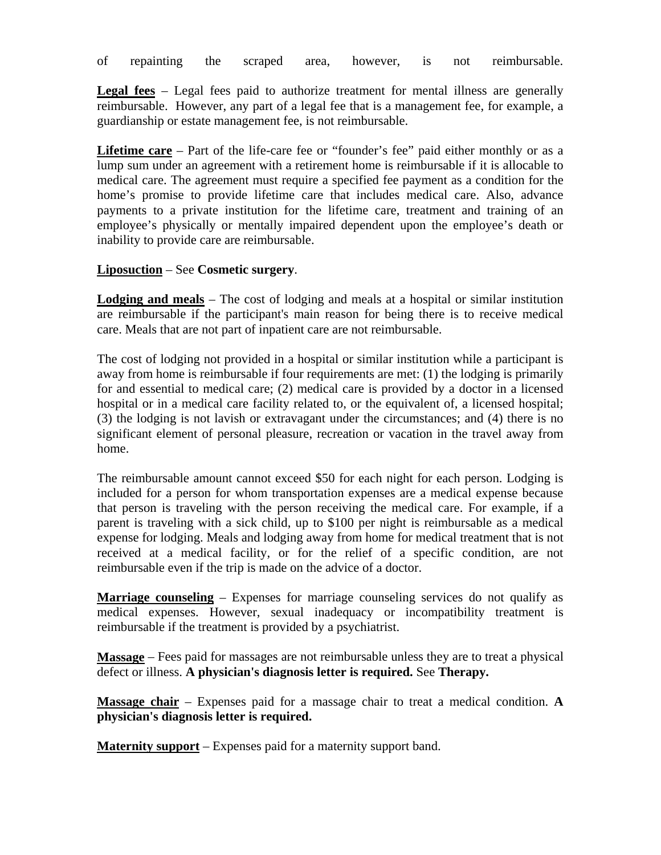of repainting the scraped area, however, is not reimbursable.

**Legal fees** – Legal fees paid to authorize treatment for mental illness are generally reimbursable. However, any part of a legal fee that is a management fee, for example, a guardianship or estate management fee, is not reimbursable.

**Lifetime care** – Part of the life-care fee or "founder's fee" paid either monthly or as a lump sum under an agreement with a retirement home is reimbursable if it is allocable to medical care. The agreement must require a specified fee payment as a condition for the home's promise to provide lifetime care that includes medical care. Also, advance payments to a private institution for the lifetime care, treatment and training of an employee's physically or mentally impaired dependent upon the employee's death or inability to provide care are reimbursable.

#### **Liposuction** – See **Cosmetic surgery**.

**Lodging and meals** – The cost of lodging and meals at a hospital or similar institution are reimbursable if the participant's main reason for being there is to receive medical care. Meals that are not part of inpatient care are not reimbursable.

The cost of lodging not provided in a hospital or similar institution while a participant is away from home is reimbursable if four requirements are met: (1) the lodging is primarily for and essential to medical care; (2) medical care is provided by a doctor in a licensed hospital or in a medical care facility related to, or the equivalent of, a licensed hospital; (3) the lodging is not lavish or extravagant under the circumstances; and (4) there is no significant element of personal pleasure, recreation or vacation in the travel away from home.

The reimbursable amount cannot exceed \$50 for each night for each person. Lodging is included for a person for whom transportation expenses are a medical expense because that person is traveling with the person receiving the medical care. For example, if a parent is traveling with a sick child, up to \$100 per night is reimbursable as a medical expense for lodging. Meals and lodging away from home for medical treatment that is not received at a medical facility, or for the relief of a specific condition, are not reimbursable even if the trip is made on the advice of a doctor.

**Marriage counseling** – Expenses for marriage counseling services do not qualify as medical expenses. However, sexual inadequacy or incompatibility treatment is reimbursable if the treatment is provided by a psychiatrist.

**Massage** – Fees paid for massages are not reimbursable unless they are to treat a physical defect or illness. **A physician's diagnosis letter is required.** See **Therapy.** 

**Massage chair** – Expenses paid for a massage chair to treat a medical condition. **A physician's diagnosis letter is required.** 

**Maternity support** – Expenses paid for a maternity support band.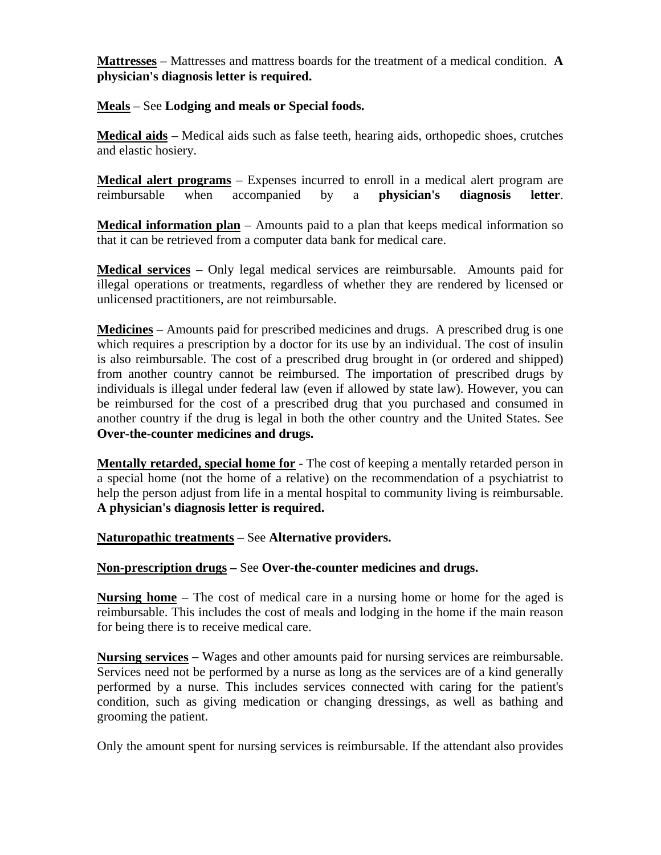**Mattresses** – Mattresses and mattress boards for the treatment of a medical condition. **A physician's diagnosis letter is required.** 

## **Meals** – See **Lodging and meals or Special foods.**

**Medical aids** – Medical aids such as false teeth, hearing aids, orthopedic shoes, crutches and elastic hosiery.

**Medical alert programs** – Expenses incurred to enroll in a medical alert program are reimbursable when accompanied by a **physician's diagnosis letter**.

**Medical information plan** – Amounts paid to a plan that keeps medical information so that it can be retrieved from a computer data bank for medical care.

**Medical services** – Only legal medical services are reimbursable. Amounts paid for illegal operations or treatments, regardless of whether they are rendered by licensed or unlicensed practitioners, are not reimbursable.

**Medicines** – Amounts paid for prescribed medicines and drugs. A prescribed drug is one which requires a prescription by a doctor for its use by an individual. The cost of insulin is also reimbursable. The cost of a prescribed drug brought in (or ordered and shipped) from another country cannot be reimbursed. The importation of prescribed drugs by individuals is illegal under federal law (even if allowed by state law). However, you can be reimbursed for the cost of a prescribed drug that you purchased and consumed in another country if the drug is legal in both the other country and the United States. See **Over-the-counter medicines and drugs.** 

**Mentally retarded, special home for** - The cost of keeping a mentally retarded person in a special home (not the home of a relative) on the recommendation of a psychiatrist to help the person adjust from life in a mental hospital to community living is reimbursable. **A physician's diagnosis letter is required.** 

**Naturopathic treatments** – See **Alternative providers.** 

# **Non-prescription drugs –** See **Over-the-counter medicines and drugs.**

**Nursing home** – The cost of medical care in a nursing home or home for the aged is reimbursable. This includes the cost of meals and lodging in the home if the main reason for being there is to receive medical care.

**Nursing services** – Wages and other amounts paid for nursing services are reimbursable. Services need not be performed by a nurse as long as the services are of a kind generally performed by a nurse. This includes services connected with caring for the patient's condition, such as giving medication or changing dressings, as well as bathing and grooming the patient.

Only the amount spent for nursing services is reimbursable. If the attendant also provides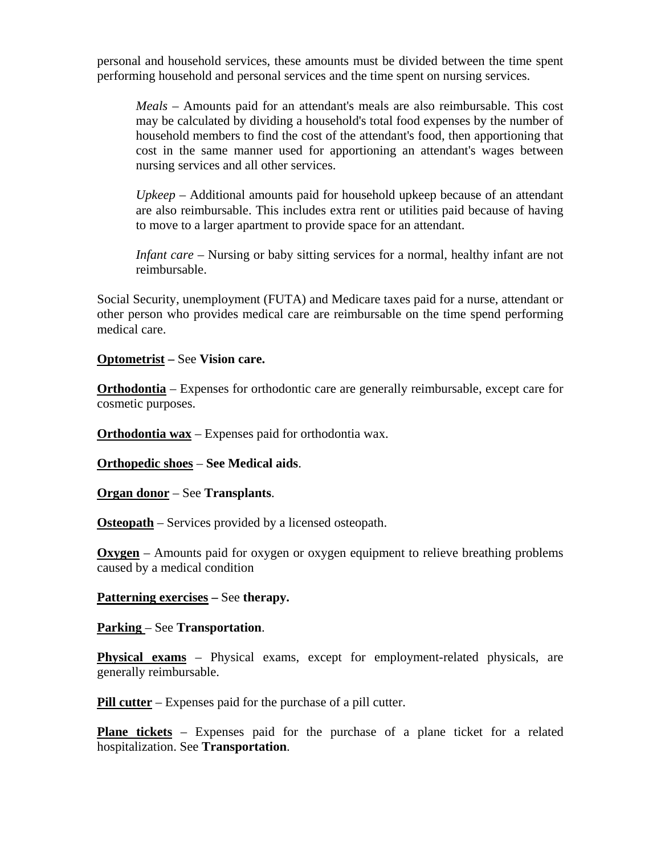personal and household services, these amounts must be divided between the time spent performing household and personal services and the time spent on nursing services.

*Meals* – Amounts paid for an attendant's meals are also reimbursable. This cost may be calculated by dividing a household's total food expenses by the number of household members to find the cost of the attendant's food, then apportioning that cost in the same manner used for apportioning an attendant's wages between nursing services and all other services.

*Upkeep* – Additional amounts paid for household upkeep because of an attendant are also reimbursable. This includes extra rent or utilities paid because of having to move to a larger apartment to provide space for an attendant.

*Infant care* – Nursing or baby sitting services for a normal, healthy infant are not reimbursable.

Social Security, unemployment (FUTA) and Medicare taxes paid for a nurse, attendant or other person who provides medical care are reimbursable on the time spend performing medical care.

## **Optometrist –** See **Vision care.**

**Orthodontia** – Expenses for orthodontic care are generally reimbursable, except care for cosmetic purposes.

**Orthodontia wax** – Expenses paid for orthodontia wax.

**Orthopedic shoes** – **See Medical aids**.

**Organ donor** – See **Transplants**.

**Osteopath** – Services provided by a licensed osteopath.

**Oxygen** – Amounts paid for oxygen or oxygen equipment to relieve breathing problems caused by a medical condition

## **Patterning exercises –** See **therapy.**

**Parking** – See **Transportation**.

**Physical exams** – Physical exams, except for employment-related physicals, are generally reimbursable.

**Pill cutter** – Expenses paid for the purchase of a pill cutter.

**Plane tickets** – Expenses paid for the purchase of a plane ticket for a related hospitalization. See **Transportation**.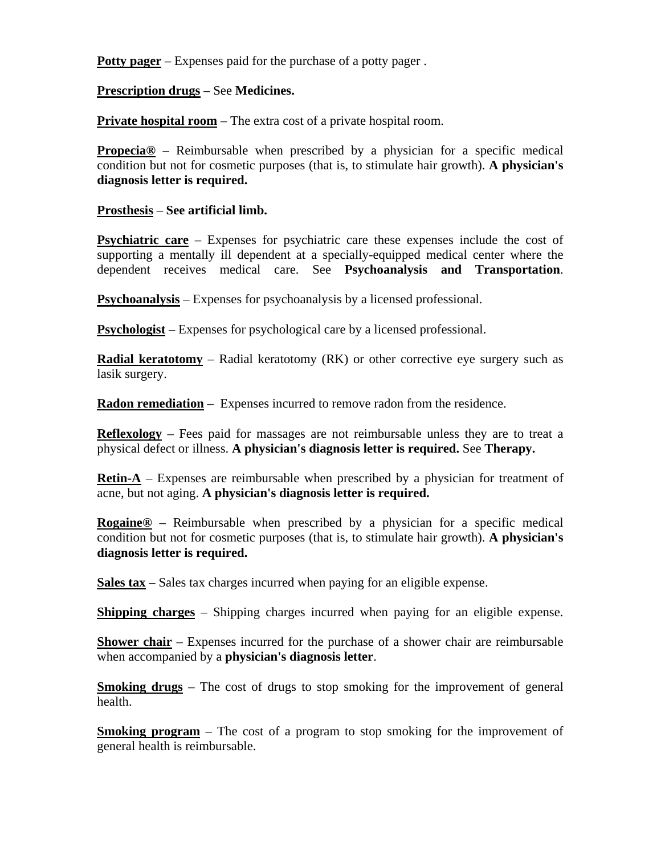**Potty pager** – Expenses paid for the purchase of a potty pager .

**Prescription drugs** – See **Medicines.** 

**Private hospital room** – The extra cost of a private hospital room.

**Propecia®** – Reimbursable when prescribed by a physician for a specific medical condition but not for cosmetic purposes (that is, to stimulate hair growth). **A physician's diagnosis letter is required.** 

**Prosthesis** – **See artificial limb.**

**Psychiatric care** – Expenses for psychiatric care these expenses include the cost of supporting a mentally ill dependent at a specially-equipped medical center where the dependent receives medical care. See **Psychoanalysis and Transportation**.

**Psychoanalysis** – Expenses for psychoanalysis by a licensed professional.

**Psychologist** – Expenses for psychological care by a licensed professional.

**Radial keratotomy** – Radial keratotomy (RK) or other corrective eye surgery such as lasik surgery.

**Radon remediation** – Expenses incurred to remove radon from the residence.

**Reflexology** – Fees paid for massages are not reimbursable unless they are to treat a physical defect or illness. **A physician's diagnosis letter is required.** See **Therapy.** 

**Retin-A** – Expenses are reimbursable when prescribed by a physician for treatment of acne, but not aging. **A physician's diagnosis letter is required.** 

**Rogaine®** – Reimbursable when prescribed by a physician for a specific medical condition but not for cosmetic purposes (that is, to stimulate hair growth). **A physician's diagnosis letter is required.** 

**Sales tax** – Sales tax charges incurred when paying for an eligible expense.

**Shipping charges** – Shipping charges incurred when paying for an eligible expense.

**Shower chair** – Expenses incurred for the purchase of a shower chair are reimbursable when accompanied by a **physician's diagnosis letter**.

**Smoking drugs** – The cost of drugs to stop smoking for the improvement of general health.

**Smoking program** – The cost of a program to stop smoking for the improvement of general health is reimbursable.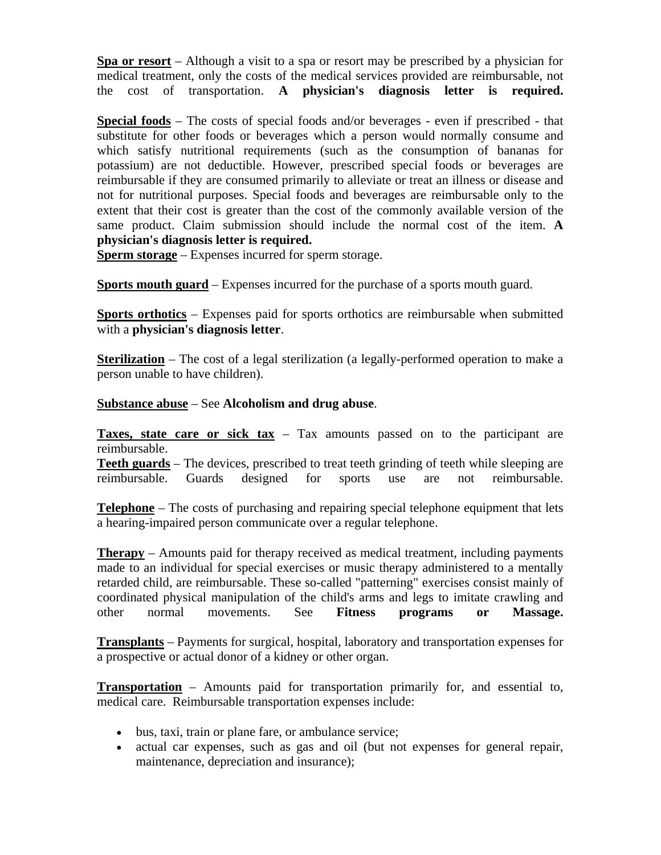**Spa or resort** – Although a visit to a spa or resort may be prescribed by a physician for medical treatment, only the costs of the medical services provided are reimbursable, not the cost of transportation. **A physician's diagnosis letter is required.**

**Special foods** – The costs of special foods and/or beverages - even if prescribed - that substitute for other foods or beverages which a person would normally consume and which satisfy nutritional requirements (such as the consumption of bananas for potassium) are not deductible. However, prescribed special foods or beverages are reimbursable if they are consumed primarily to alleviate or treat an illness or disease and not for nutritional purposes. Special foods and beverages are reimbursable only to the extent that their cost is greater than the cost of the commonly available version of the same product. Claim submission should include the normal cost of the item. **A physician's diagnosis letter is required.** 

**Sperm storage** – Expenses incurred for sperm storage.

**Sports mouth guard** – Expenses incurred for the purchase of a sports mouth guard.

**Sports orthotics** – Expenses paid for sports orthotics are reimbursable when submitted with a **physician's diagnosis letter**.

**Sterilization** – The cost of a legal sterilization (a legally-performed operation to make a person unable to have children).

**Substance abuse** – See **Alcoholism and drug abuse**.

**Taxes, state care or sick tax** – Tax amounts passed on to the participant are reimbursable.

**Teeth guards** – The devices, prescribed to treat teeth grinding of teeth while sleeping are reimbursable. Guards designed for sports use are not reimbursable.

**Telephone** – The costs of purchasing and repairing special telephone equipment that lets a hearing-impaired person communicate over a regular telephone.

**Therapy** – Amounts paid for therapy received as medical treatment, including payments made to an individual for special exercises or music therapy administered to a mentally retarded child, are reimbursable. These so-called "patterning" exercises consist mainly of coordinated physical manipulation of the child's arms and legs to imitate crawling and other normal movements. See **Fitness programs or Massage.** 

**Transplants** – Payments for surgical, hospital, laboratory and transportation expenses for a prospective or actual donor of a kidney or other organ.

**Transportation** – Amounts paid for transportation primarily for, and essential to, medical care. Reimbursable transportation expenses include:

- bus, taxi, train or plane fare, or ambulance service;
- actual car expenses, such as gas and oil (but not expenses for general repair, maintenance, depreciation and insurance);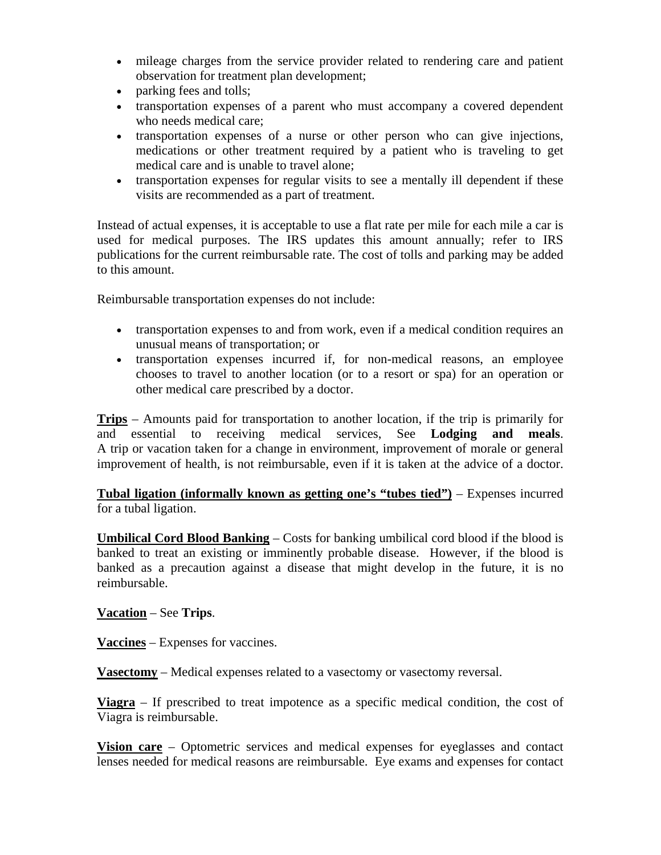- mileage charges from the service provider related to rendering care and patient observation for treatment plan development;
- parking fees and tolls;
- transportation expenses of a parent who must accompany a covered dependent who needs medical care;
- transportation expenses of a nurse or other person who can give injections, medications or other treatment required by a patient who is traveling to get medical care and is unable to travel alone;
- transportation expenses for regular visits to see a mentally ill dependent if these visits are recommended as a part of treatment.

Instead of actual expenses, it is acceptable to use a flat rate per mile for each mile a car is used for medical purposes. The IRS updates this amount annually; refer to IRS publications for the current reimbursable rate. The cost of tolls and parking may be added to this amount.

Reimbursable transportation expenses do not include:

- transportation expenses to and from work, even if a medical condition requires an unusual means of transportation; or
- transportation expenses incurred if, for non-medical reasons, an employee chooses to travel to another location (or to a resort or spa) for an operation or other medical care prescribed by a doctor.

**Trips** – Amounts paid for transportation to another location, if the trip is primarily for and essential to receiving medical services, See **Lodging and meals**. A trip or vacation taken for a change in environment, improvement of morale or general improvement of health, is not reimbursable, even if it is taken at the advice of a doctor.

**Tubal ligation (informally known as getting one's "tubes tied")** – Expenses incurred for a tubal ligation.

**Umbilical Cord Blood Banking** – Costs for banking umbilical cord blood if the blood is banked to treat an existing or imminently probable disease. However, if the blood is banked as a precaution against a disease that might develop in the future, it is no reimbursable.

**Vacation** – See **Trips**.

**Vaccines** – Expenses for vaccines.

**Vasectomy** – Medical expenses related to a vasectomy or vasectomy reversal.

**Viagra** – If prescribed to treat impotence as a specific medical condition, the cost of Viagra is reimbursable.

**Vision care** – Optometric services and medical expenses for eyeglasses and contact lenses needed for medical reasons are reimbursable. Eye exams and expenses for contact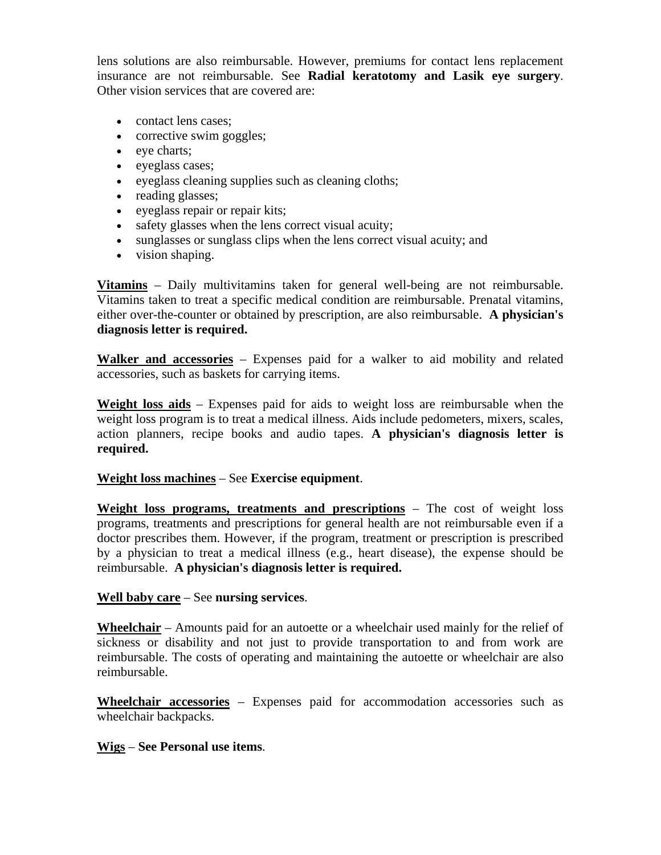lens solutions are also reimbursable. However, premiums for contact lens replacement insurance are not reimbursable. See **Radial keratotomy and Lasik eye surgery**. Other vision services that are covered are:

- contact lens cases;
- corrective swim goggles;
- eye charts;
- eyeglass cases;
- eyeglass cleaning supplies such as cleaning cloths;
- reading glasses;
- eyeglass repair or repair kits;
- safety glasses when the lens correct visual acuity;
- sunglasses or sunglass clips when the lens correct visual acuity; and
- vision shaping.

**Vitamins** – Daily multivitamins taken for general well-being are not reimbursable. Vitamins taken to treat a specific medical condition are reimbursable. Prenatal vitamins, either over-the-counter or obtained by prescription, are also reimbursable. **A physician's diagnosis letter is required.** 

**Walker and accessories** – Expenses paid for a walker to aid mobility and related accessories, such as baskets for carrying items.

**Weight loss aids** – Expenses paid for aids to weight loss are reimbursable when the weight loss program is to treat a medical illness. Aids include pedometers, mixers, scales, action planners, recipe books and audio tapes. **A physician's diagnosis letter is required.** 

# **Weight loss machines** – See **Exercise equipment**.

**Weight loss programs, treatments and prescriptions** – The cost of weight loss programs, treatments and prescriptions for general health are not reimbursable even if a doctor prescribes them. However, if the program, treatment or prescription is prescribed by a physician to treat a medical illness (e.g., heart disease), the expense should be reimbursable. **A physician's diagnosis letter is required.** 

# **Well baby care** – See **nursing services**.

**Wheelchair** – Amounts paid for an autoette or a wheelchair used mainly for the relief of sickness or disability and not just to provide transportation to and from work are reimbursable. The costs of operating and maintaining the autoette or wheelchair are also reimbursable.

**Wheelchair accessories** – Expenses paid for accommodation accessories such as wheelchair backpacks.

# **Wigs** – **See Personal use items**.